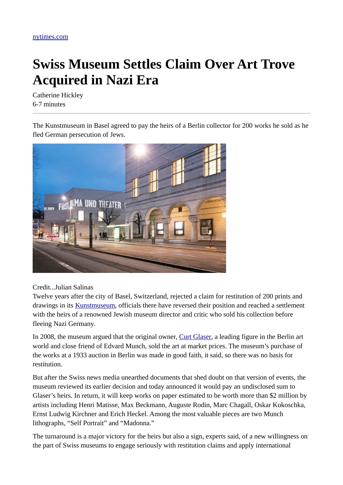## **Swiss Museum Settles Claim Over Art Trove Acquired in Nazi Era**

Catherine Hickley 6-7 minutes

The Kunstmuseum in Basel agreed to pay the heirs of a Berlin collector for 200 works he sold as he fled German persecution of Jews.



## Credit...Julian Salinas

Twelve years after the city of Basel, Switzerland, rejected a claim for restitution of 200 prints and drawings in its **Kunstmuseum**, officials there have reversed their position and reached a settlement with the heirs of a renowned Jewish museum director and critic who sold his collection before fleeing Nazi Germany.

In 2008, the museum argued that the original owner, [Curt Glaser,](http://arthistorians.info/glaserc) a leading figure in the Berlin art world and close friend of Edvard Munch, sold the art at market prices. The museum's purchase of the works at a 1933 auction in Berlin was made in good faith, it said, so there was no basis for restitution.

But after the Swiss news media unearthed documents that shed doubt on that version of events, the museum reviewed its earlier decision and today announced it would pay an undisclosed sum to Glaser's heirs. In return, it will keep works on paper estimated to be worth more than \$2 million by artists including Henri Matisse, Max Beckmann, Auguste Rodin, Marc Chagall, Oskar Kokoschka, Ernst Ludwig Kirchner and Erich Heckel. Among the most valuable pieces are two Munch lithographs, "Self Portrait" and "Madonna."

The turnaround is a major victory for the heirs but also a sign, experts said, of a new willingness on the part of Swiss museums to engage seriously with restitution claims and apply international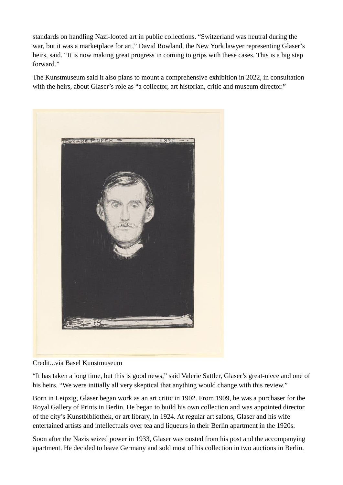standards on handling Nazi-looted art in public collections. "Switzerland was neutral during the war, but it was a marketplace for art," David Rowland, the New York lawyer representing Glaser's heirs, said. "It is now making great progress in coming to grips with these cases. This is a big step forward."

The Kunstmuseum said it also plans to mount a comprehensive exhibition in 2022, in consultation with the heirs, about Glaser's role as "a collector, art historian, critic and museum director."



Credit...via Basel Kunstmuseum

"It has taken a long time, but this is good news," said Valerie Sattler, Glaser's great-niece and one of his heirs. "We were initially all very skeptical that anything would change with this review."

Born in Leipzig, Glaser began work as an art critic in 1902. From 1909, he was a purchaser for the Royal Gallery of Prints in Berlin. He began to build his own collection and was appointed director of the city's Kunstbibliothek, or art library, in 1924. At regular art salons, Glaser and his wife entertained artists and intellectuals over tea and liqueurs in their Berlin apartment in the 1920s.

Soon after the Nazis seized power in 1933, Glaser was ousted from his post and the accompanying apartment. He decided to leave Germany and sold most of his collection in two auctions in Berlin.